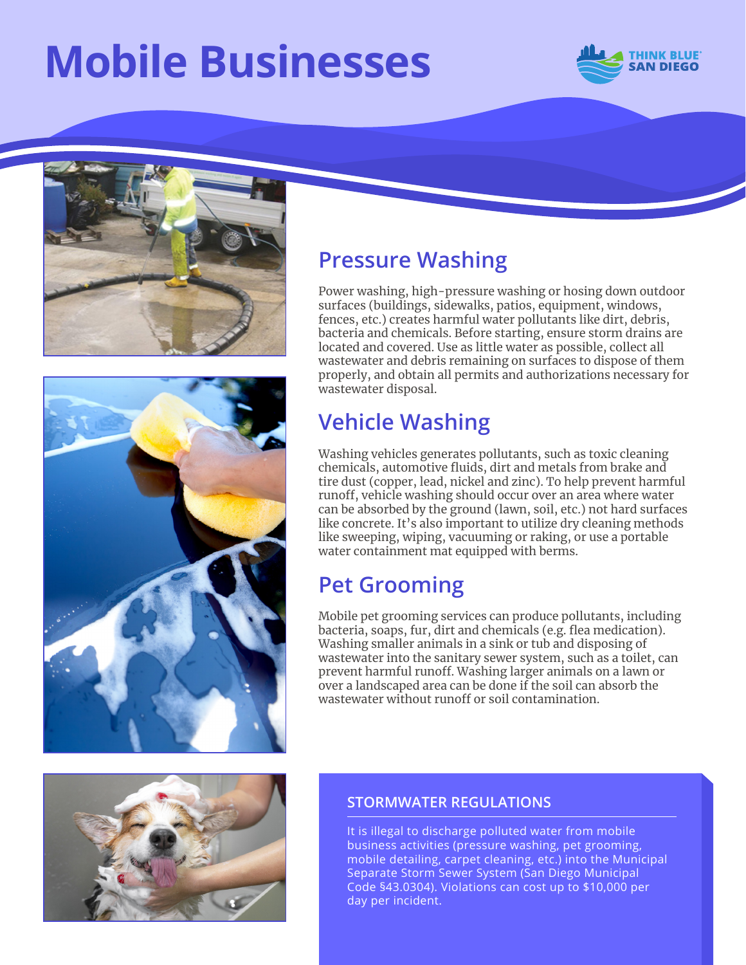# **Mobile Businesses**







#### **Pressure Washing**

Power washing, high-pressure washing or hosing down outdoor surfaces (buildings, sidewalks, patios, equipment, windows, fences, etc.) creates harmful water pollutants like dirt, debris, bacteria and chemicals. Before starting, ensure storm drains are located and covered. Use as little water as possible, collect all wastewater and debris remaining on surfaces to dispose of them properly, and obtain all permits and authorizations necessary for wastewater disposal.

## **Vehicle Washing**

Washing vehicles generates pollutants, such as toxic cleaning chemicals, automotive fluids, dirt and metals from brake and tire dust (copper, lead, nickel and zinc). To help prevent harmful runoff, vehicle washing should occur over an area where water can be absorbed by the ground (lawn, soil, etc.) not hard surfaces like concrete. It's also important to utilize dry cleaning methods like sweeping, wiping, vacuuming or raking, or use a portable water containment mat equipped with berms.

#### **Pet Grooming**

Mobile pet grooming services can produce pollutants, including bacteria, soaps, fur, dirt and chemicals (e.g. flea medication). Washing smaller animals in a sink or tub and disposing of wastewater into the sanitary sewer system, such as a toilet, can prevent harmful runoff. Washing larger animals on a lawn or over a landscaped area can be done if the soil can absorb the wastewater without runoff or soil contamination.



#### **STORMWATER REGULATIONS**

It is illegal to discharge polluted water from mobile business activities (pressure washing, pet grooming, mobile detailing, carpet cleaning, etc.) into the Municipal Separate Storm Sewer System (San Diego Municipal Code §43.0304). Violations can cost up to \$10,000 per day per incident.